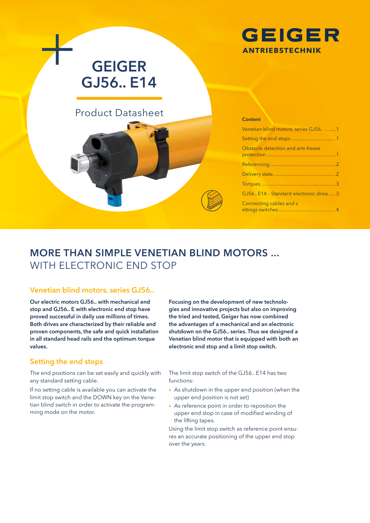

# **GEIGER GJ56.. E14**

# Product Datasheet

## **Content** Venetian blind motors, series GJ56.. ........ 1 Setting the end stops .................................. 1 Obstacle detection and anti-freeze protection ..................................................... 1 Referencing .................................................. 2 Delivery state................................................ 2 Torques ......................................................... 3 GJ56.. E14 – Standard electronic drive ..... 3 Connecting cables and s ettings switches............................................ 4

# **MORE THAN SIMPLE VENETIAN BLIND MOTORS ...**  WITH ELECTRONIC END STOP

### **Venetian blind motors, series GJ56..**

**Our electric motors GJ56.. with mechanical end stop and GJ56.. E with electronic end stop have proved successful in daily use millions of times. Both drives are characterized by their reliable and proven components, the safe and quick installation in all standard head rails and the optimum torque values.** 

# **Setting the end stops**

The end positions can be set easily and quickly with any standard setting cable.

If no setting cable is available you can activate the limit stop switch and the DOWN key on the Venetian blind switch in order to activate the programming mode on the motor.

**Focusing on the development of new technologies and innovative projects but also on improving the tried and tested, Geiger has now combined the advantages of a mechanical and an electronic shutdown on the GJ56.. series. Thus we designed a Venetian blind motor that is equipped with both an electronic end stop and a limit stop switch.**

The limit stop switch of the GJ56.. E14 has two functions:

- As shutdown in the upper end position (when the upper end position is not set)
- As reference point in order to reposition the upper end stop in case of modified winding of the lifting tapes.

Using the limit stop switch as reference point ensures an accurate positioning of the upper end stop over the years.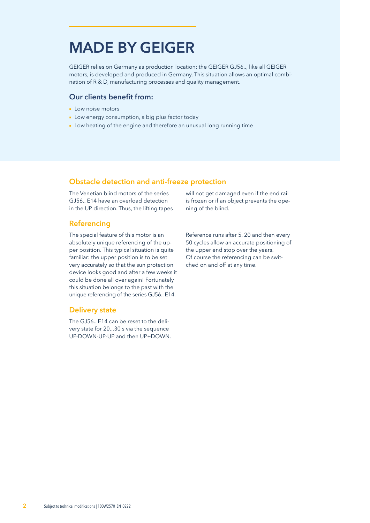# **MADE BY GEIGER**

GEIGER relies on Germany as production location: the GEIGER GJ56.., like all GEIGER motors, is developed and produced in Germany. This situation allows an optimal combination of R & D, manufacturing processes and quality management.

#### **Our clients benefit from:**

- Low noise motors
- Low energy consumption, a big plus factor today
- Low heating of the engine and therefore an unusual long running time

### **Obstacle detection and anti-freeze protection**

The Venetian blind motors of the series GJ56.. E14 have an overload detection in the UP direction. Thus, the lifting tapes

## **Referencing**

The special feature of this motor is an absolutely unique referencing of the upper position. This typical situation is quite familiar: the upper position is to be set very accurately so that the sun protection device looks good and after a few weeks it could be done all over again! Fortunately this situation belongs to the past with the unique referencing of the series GJ56.. E14.

#### **Delivery state**

The GJ56.. E14 can be reset to the delivery state for 20...30 s via the sequence UP-DOWN-UP-UP and then UP+DOWN. will not get damaged even if the end rail is frozen or if an object prevents the opening of the blind.

Reference runs after 5, 20 and then every 50 cycles allow an accurate positioning of the upper end stop over the years. Of course the referencing can be switched on and off at any time.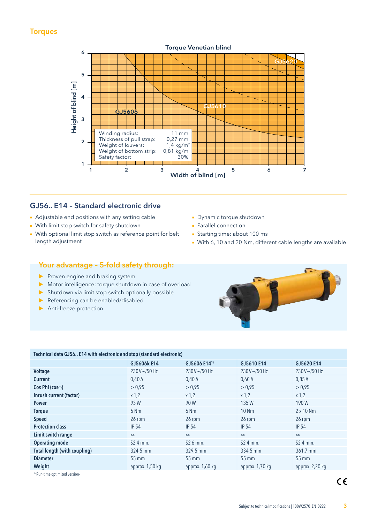# **Torques**



# **GJ56.. E14 – Standard electronic drive**

- Adjustable end positions with any setting cable
- With limit stop switch for safety shutdown
- With optional limit stop switch as reference point for belt length adjustment
- Dynamic torque shutdown
- Parallel connection
- Starting time: about 100 ms
- With 6, 10 and 20 Nm, different cable lengths are available

# **Your advantage – 5-fold safety through:**

- $\blacktriangleright$  Proven engine and braking system
- Motor intelligence: torque shutdown in case of overload
- $\triangleright$  Shutdown via limit stop switch optionally possible
- Referencing can be enabled/disabled
- Anti-freeze protection



#### **Technical data GJ56.. E14 with electronic end stop (standard electronic)**

| GJ5606k E14     | GJ5606 E141)    | GJ5610 E14      | GJ5620 E14            |
|-----------------|-----------------|-----------------|-----------------------|
| $230V - 750Hz$  | $230V - 750Hz$  | $230V - 750Hz$  | $230V - 750Hz$        |
| 0,40A           | 0,40A           | 0,60A           | 0.85A                 |
| > 0.95          | > 0.95          | > 0.95          | > 0.95                |
| $x$ 1,2         | $x$ 1,2         | $x$ 1,2         | $x$ 1,2               |
| 93 W            | 90 W            | 135W            | 190W                  |
| 6 Nm            | 6 Nm            | <b>10 Nm</b>    | $2 \times 10$ Nm      |
| 26 rpm          | 26 rpm          | 26 rpm          | 26 rpm                |
| <b>IP 54</b>    | <b>IP 54</b>    | <b>IP 54</b>    | <b>IP 54</b>          |
| $\infty$        | $\infty$        | $\infty$        | $\infty$              |
| $S24$ min.      | $S26$ min.      | $S24$ min.      | S <sub>2</sub> 4 min. |
| 324,5 mm        | 329,5 mm        | 334,5 mm        | 361,7 mm              |
| 55 mm           | 55 mm           | 55 mm           | 55 mm                 |
| approx. 1,50 kg | approx. 1,60 kg | approx. 1,70 kg | approx. 2,20 kg       |
|                 |                 |                 |                       |

<sup>1)</sup> Run-time optimized version-

 $C \in$